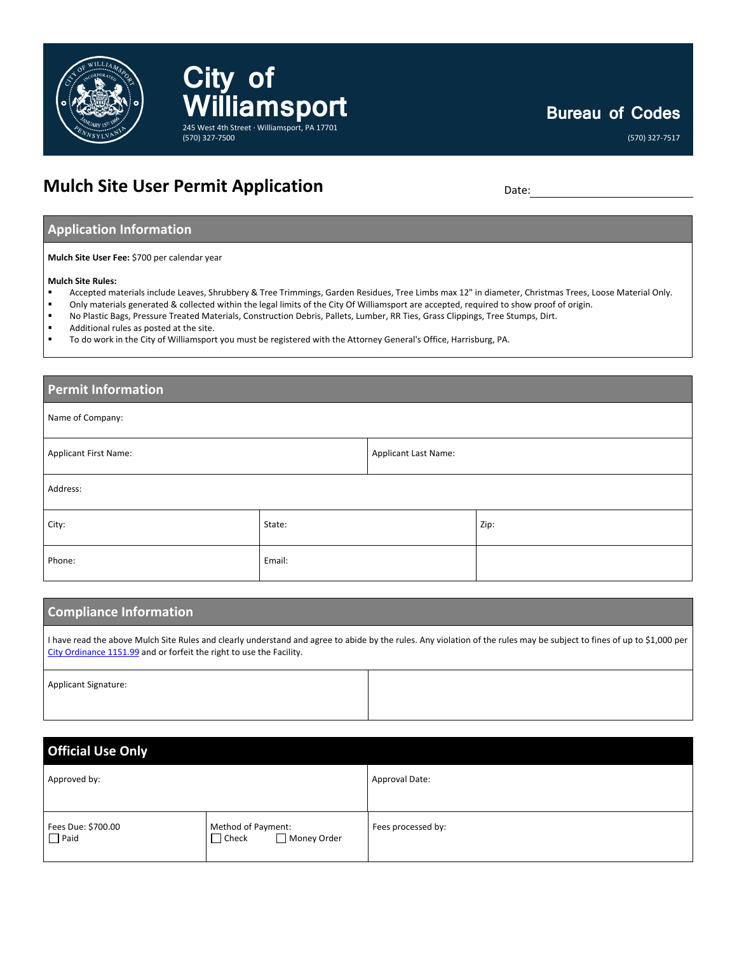

## **Bureau of Codes**

(570) 327-7517

## **Mulch Site User Permit Application** Date:

**City** of

(570) 327-7500

### **Application Information**

**Mulch Site User Fee:** \$700 per calendar year

#### **Mulch Site Rules:**

- Accepted materials include Leaves, Shrubbery & Tree Trimmings, Garden Residues, Tree Limbs max 12" in diameter, Christmas Trees, Loose Material Only.
- Only materials generated & collected within the legal limits of the City Of Williamsport are accepted, required to show proof of origin.<br>
In Plastic Bags, Pressure Treated Materials, Construction Debris, Pallets, Lumber, R
- No Plastic Bags, Pressure Treated Materials, Construction Debris, Pallets, Lumber, RR Ties, Grass Clippings, Tree Stumps, Dirt.

**Williamsport**

245 West 4th Street · Williamsport, PA 17701

- Additional rules as posted at the site.
- To do work in the City of Williamsport you must be registered with the Attorney General's Office, Harrisburg, PA.

# **Permit Information** Name of Company: Applicant First Name: Applicant Last Name: Applicant Last Name: Applicant Last Name: Address: City: State: Zip: Phone: Email: Email: Email: Email: Email: Email: Email: Email: Email: Email: Email: Email: Email: Email: Email: Email: Email: Email: Email: Email: Email: Email: Email: Email: Email: Email: Email: Email: Email: Email: Email

| <b>Compliance Information</b>                                                                                                                                                                                                                  |  |  |
|------------------------------------------------------------------------------------------------------------------------------------------------------------------------------------------------------------------------------------------------|--|--|
| I have read the above Mulch Site Rules and clearly understand and agree to abide by the rules. Any violation of the rules may be subject to fines of up to \$1,000 per<br>City Ordinance 1151.99 and or forfeit the right to use the Facility. |  |  |
| <b>Applicant Signature:</b>                                                                                                                                                                                                                    |  |  |

| <b>Official Use Only</b>          |                                                   |                    |  |
|-----------------------------------|---------------------------------------------------|--------------------|--|
| Approved by:                      |                                                   | Approval Date:     |  |
| Fees Due: \$700.00<br>$\Box$ Paid | Method of Payment:<br>Money Order<br>$\Box$ Check | Fees processed by: |  |